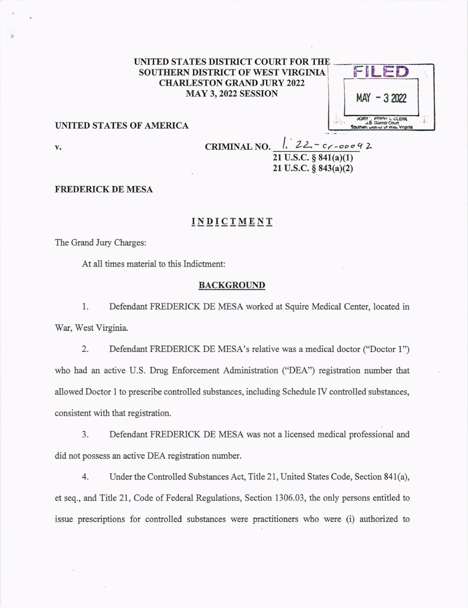# UNITED STATES DISTRICT COURT FOR THE SOUTHERN DISTRICT OF WEST VIRGINIA **CHARLESTON GRAND JURY 2022 MAY 3, 2022 SESSION**

| $-32022$<br>MAY                                                                                 |  |
|-------------------------------------------------------------------------------------------------|--|
| <b><i>ADRY: PERRY IL CLERK</i></b><br>J.S. District Court<br>Southern, wisting or West Virginia |  |

## UNITED STATES OF AMERICA

v.

CRIMINAL NO.  $1.22 - c$ r-ooo92  $21$  U.S.C.  $§ 841(a)(1)$  $21$  U.S.C.  $\S$  843(a)(2)

## FREDERICK DE MESA

# **INDICTMENT**

The Grand Jury Charges:

At all times material to this Indictment:

#### **BACKGROUND**

l. Defendant FREDERICK DE MESA worked at Squire Medical Center, located in War, West Virginia.

2. Defendant FREDERICK DE MESA's relative was a medical doctor ("Doctor l") who had an active U.S. Drug Enforcement Administration ("DEA") registration number that allowed Doctor I to prescribe contolled substances, including Schedule [V controlled substances, consistent with that registration.

3. Defendant FREDERICK DE MESA was not a licensed medical professional and did not possess an active DEA registration number.

4. Under the Controlled Substances Act, Title 21, United States Code, Section 841(a), et seq., and Title 21, Code of Federal Regulations, Section 1306.03, the only persons entitled to issue prescriptions for contolled substances were practitioners who were (i) authorized to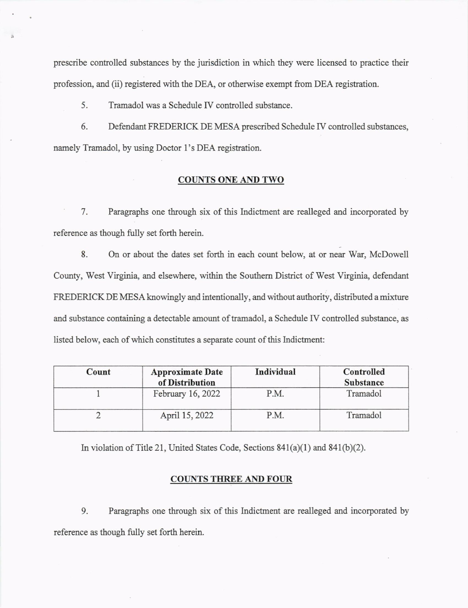prcscribe controlled substances by the jurisdiction in which they were licensed to practice their profession, and (ii) registered with the DEA, or otherwise exempt from DEA registration.

5. Tramadol was a Schedule [V controlled substance.

6. Defendant FREDERICK DE MESA prescribed Schedule IV controlled substances, namely Tramadol, by using Doctor l's DEA registration.

## COUNTS ONE AND TWO

7. Paragraphs one through six of this Indictment are realleged and incorporated by reference as though fully set forth herein.

8. On or about the dates set forth in each count below, at or near War, McDowell County, West Virginia, and elsewhere, within the Southern District of West Virginia, defendant FREDERICK DE MESA knowingly and intentionally, and without authority, distributed a mixture and substance containing a detectable amount of tamadol, a Schedule IV controlled zubstance, as listed below, each of which constitutes a separate count of this Indictment:

| Count | <b>Approximate Date</b><br>of Distribution | Individual | Controlled<br><b>Substance</b> |
|-------|--------------------------------------------|------------|--------------------------------|
|       | February 16, 2022                          | P.M.       | Tramadol                       |
|       | April 15, 2022                             | P.M.       | Tramadol                       |

In violation of Title 21, United States Code, Sections 841(a)(1) and 841(b)(2).

### COUNTS THREE AND FOUR

9. Paragraphs one through six of tbis Indictnent are realleged and incorporated by reference as though fully set forth herein.